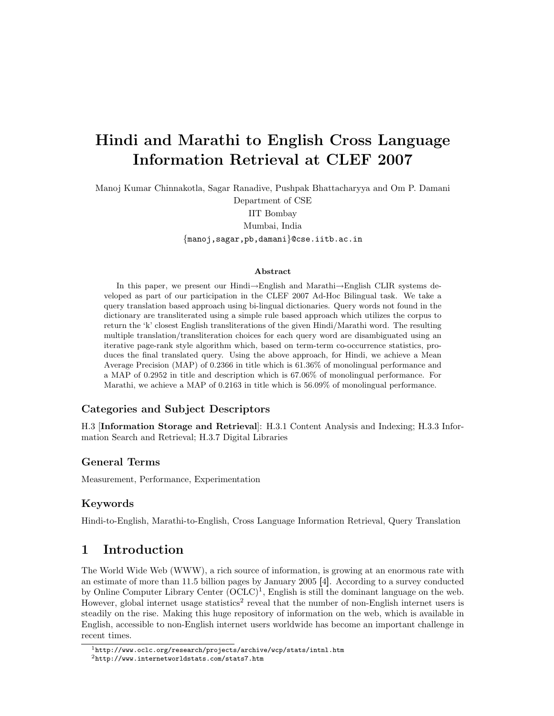# Hindi and Marathi to English Cross Language Information Retrieval at CLEF 2007

Manoj Kumar Chinnakotla, Sagar Ranadive, Pushpak Bhattacharyya and Om P. Damani

Department of CSE IIT Bombay Mumbai, India {manoj,sagar,pb,damani}@cse.iitb.ac.in

#### Abstract

In this paper, we present our Hindi→English and Marathi→English CLIR systems developed as part of our participation in the CLEF 2007 Ad-Hoc Bilingual task. We take a query translation based approach using bi-lingual dictionaries. Query words not found in the dictionary are transliterated using a simple rule based approach which utilizes the corpus to return the 'k' closest English transliterations of the given Hindi/Marathi word. The resulting multiple translation/transliteration choices for each query word are disambiguated using an iterative page-rank style algorithm which, based on term-term co-occurrence statistics, produces the final translated query. Using the above approach, for Hindi, we achieve a Mean Average Precision (MAP) of 0.2366 in title which is 61.36% of monolingual performance and a MAP of 0.2952 in title and description which is 67.06% of monolingual performance. For Marathi, we achieve a MAP of 0.2163 in title which is 56.09% of monolingual performance.

#### Categories and Subject Descriptors

H.3 [Information Storage and Retrieval]: H.3.1 Content Analysis and Indexing; H.3.3 Information Search and Retrieval; H.3.7 Digital Libraries

#### General Terms

Measurement, Performance, Experimentation

#### Keywords

Hindi-to-English, Marathi-to-English, Cross Language Information Retrieval, Query Translation

### 1 Introduction

The World Wide Web (WWW), a rich source of information, is growing at an enormous rate with an estimate of more than 11.5 billion pages by January 2005 [4]. According to a survey conducted by Online Computer Library Center  $(OCLC)^1$ , English is still the dominant language on the web. However, global internet usage statistics<sup>2</sup> reveal that the number of non-English internet users is steadily on the rise. Making this huge repository of information on the web, which is available in English, accessible to non-English internet users worldwide has become an important challenge in recent times.

<sup>1</sup>http://www.oclc.org/research/projects/archive/wcp/stats/intnl.htm

<sup>2</sup>http://www.internetworldstats.com/stats7.htm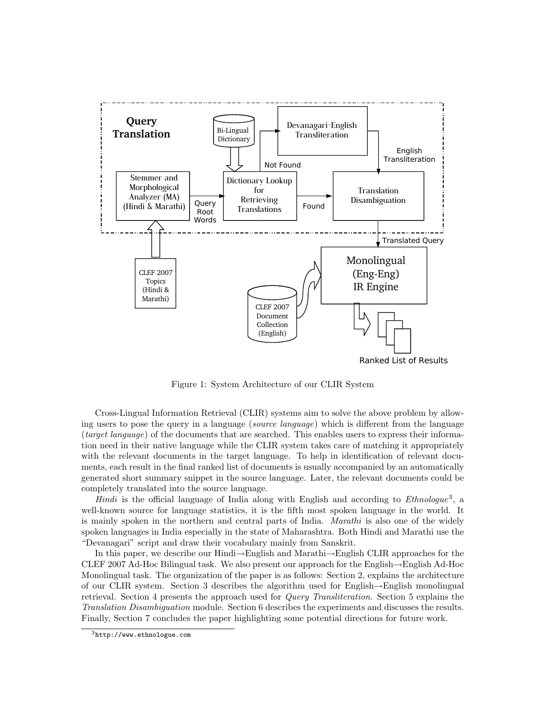

Figure 1: System Architecture of our CLIR System

Cross-Lingual Information Retrieval (CLIR) systems aim to solve the above problem by allowing users to pose the query in a language (source language) which is different from the language (target language) of the documents that are searched. This enables users to express their information need in their native language while the CLIR system takes care of matching it appropriately with the relevant documents in the target language. To help in identification of relevant documents, each result in the final ranked list of documents is usually accompanied by an automatically generated short summary snippet in the source language. Later, the relevant documents could be completely translated into the source language.

*Hindi* is the official language of India along with English and according to *Ethnologue*<sup>3</sup>, a well-known source for language statistics, it is the fifth most spoken language in the world. It is mainly spoken in the northern and central parts of India. Marathi is also one of the widely spoken languages in India especially in the state of Maharashtra. Both Hindi and Marathi use the "Devanagari" script and draw their vocabulary mainly from Sanskrit.

In this paper, we describe our Hindi→English and Marathi→English CLIR approaches for the CLEF 2007 Ad-Hoc Bilingual task. We also present our approach for the English→English Ad-Hoc Monolingual task. The organization of the paper is as follows: Section 2, explains the architecture of our CLIR system. Section 3 describes the algorithm used for English→English monolingual retrieval. Section 4 presents the approach used for Query Transliteration. Section 5 explains the Translation Disambiguation module. Section 6 describes the experiments and discusses the results. Finally, Section 7 concludes the paper highlighting some potential directions for future work.

 $3$ http://www.ethnologue.com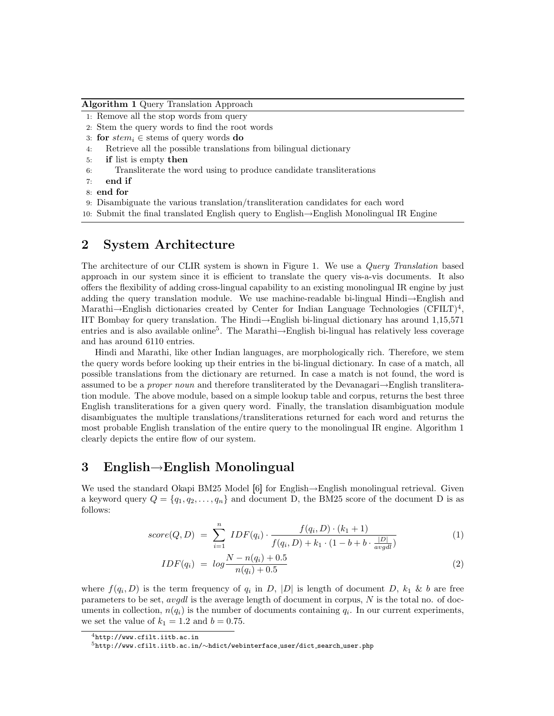Algorithm 1 Query Translation Approach

- 1: Remove all the stop words from query
- 2: Stem the query words to find the root words
- 3: for  $stem_i \in stems$  of query words do
- 4: Retrieve all the possible translations from bilingual dictionary
- 5: if list is empty then
- 6: Transliterate the word using to produce candidate transliterations
- 7: end if
- 8: end for

9: Disambiguate the various translation/transliteration candidates for each word

10: Submit the final translated English query to English→English Monolingual IR Engine

### 2 System Architecture

The architecture of our CLIR system is shown in Figure 1. We use a Query Translation based approach in our system since it is efficient to translate the query vis-a-vis documents. It also offers the flexibility of adding cross-lingual capability to an existing monolingual IR engine by just adding the query translation module. We use machine-readable bi-lingual Hindi→English and Marathi $\rightarrow$ English dictionaries created by Center for Indian Language Technologies (CFILT)<sup>4</sup>, IIT Bombay for query translation. The Hindi→English bi-lingual dictionary has around 1,15,571 entries and is also available online<sup>5</sup> . The Marathi→English bi-lingual has relatively less coverage and has around 6110 entries.

Hindi and Marathi, like other Indian languages, are morphologically rich. Therefore, we stem the query words before looking up their entries in the bi-lingual dictionary. In case of a match, all possible translations from the dictionary are returned. In case a match is not found, the word is assumed to be a *proper noun* and therefore transliterated by the Devanagari $\rightarrow$ English transliteration module. The above module, based on a simple lookup table and corpus, returns the best three English transliterations for a given query word. Finally, the translation disambiguation module disambiguates the multiple translations/transliterations returned for each word and returns the most probable English translation of the entire query to the monolingual IR engine. Algorithm 1 clearly depicts the entire flow of our system.

### 3 English→English Monolingual

We used the standard Okapi BM25 Model [6] for English→English monolingual retrieval. Given a keyword query  $Q = \{q_1, q_2, \ldots, q_n\}$  and document D, the BM25 score of the document D is as follows:

$$
score(Q, D) = \sum_{i=1}^{n} IDF(q_i) \cdot \frac{f(q_i, D) \cdot (k_1 + 1)}{f(q_i, D) + k_1 \cdot (1 - b + b \cdot \frac{|D|}{avgdl})}
$$
(1)

$$
IDF(q_i) = log \frac{N - n(q_i) + 0.5}{n(q_i) + 0.5}
$$
\n(2)

where  $f(q_i, D)$  is the term frequency of  $q_i$  in D, |D| is length of document D,  $k_1 \& b$  are free parameters to be set, *avgdl* is the average length of document in corpus,  $N$  is the total no. of documents in collection,  $n(q_i)$  is the number of documents containing  $q_i$ . In our current experiments, we set the value of  $k_1 = 1.2$  and  $b = 0.75$ .

 $^4$ http://www.cfilt.iitb.ac.in

<sup>5</sup>http://www.cfilt.iitb.ac.in/∼hdict/webinterface user/dict search user.php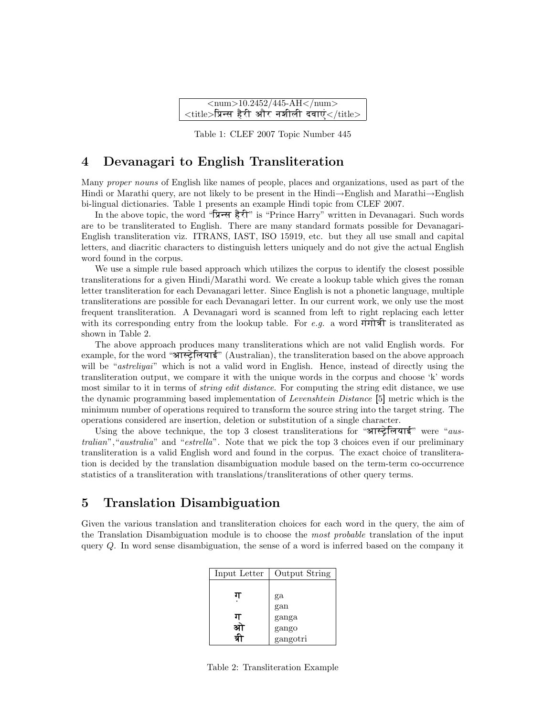| $\langle$ num>10.2452/445-AH $\langle$ num>             |  |  |  |
|---------------------------------------------------------|--|--|--|
| $\lt$ title>प्रिन्स हैरी और नशीली दवाएं $<$ /title> $ $ |  |  |  |

Table 1: CLEF 2007 Topic Number 445

#### 4 Devanagari to English Transliteration

Many proper nouns of English like names of people, places and organizations, used as part of the Hindi or Marathi query, are not likely to be present in the Hindi→English and Marathi→English bi-lingual dictionaries. Table 1 presents an example Hindi topic from CLEF 2007.

In the above topic, the word " $\overline{R}$   $\overline{R}$   $\overline{R}$ " is "Prince Harry" written in Devanagari. Such words are to be transliterated to English. There are many standard formats possible for Devanagari-English transliteration viz. ITRANS, IAST, ISO 15919, etc. but they all use small and capital letters, and diacritic characters to distinguish letters uniquely and do not give the actual English word found in the corpus.

We use a simple rule based approach which utilizes the corpus to identify the closest possible transliterations for a given Hindi/Marathi word. We create a lookup table which gives the roman letter transliteration for each Devanagari letter. Since English is not a phonetic language, multiple transliterations are possible for each Devanagari letter. In our current work, we only use the most frequent transliteration. A Devanagari word is scanned from left to right replacing each letter with its corresponding entry from the lookup table. For e.g. a word  $\overrightarrow{v}$  is transliterated as shown in Table 2.

The above approach produces many transliterations which are not valid English words. For example, for the word "आस्ट्रेलियाई" (Australian), the transliteration based on the above approach will be "astreliyai" which is not a valid word in English. Hence, instead of directly using the transliteration output, we compare it with the unique words in the corpus and choose 'k' words most similar to it in terms of *string edit distance*. For computing the string edit distance, we use the dynamic programming based implementation of Levenshtein Distance [5] metric which is the minimum number of operations required to transform the source string into the target string. The operations considered are insertion, deletion or substitution of a single character.

Using the above technique, the top 3 closest transliterations for "आस्ट्रेलियाई" were "australian", "australia" and "estrella". Note that we pick the top 3 choices even if our preliminary transliteration is a valid English word and found in the corpus. The exact choice of transliteration is decided by the translation disambiguation module based on the term-term co-occurrence statistics of a transliteration with translations/transliterations of other query terms.

### 5 Translation Disambiguation

Given the various translation and transliteration choices for each word in the query, the aim of the Translation Disambiguation module is to choose the most probable translation of the input query Q. In word sense disambiguation, the sense of a word is inferred based on the company it

| Input Letter | Output String |  |  |  |
|--------------|---------------|--|--|--|
|              |               |  |  |  |
| ग            | ga            |  |  |  |
|              | gan           |  |  |  |
| ग            | ganga         |  |  |  |
|              | gango         |  |  |  |
|              | gangotri      |  |  |  |

Table 2: Transliteration Example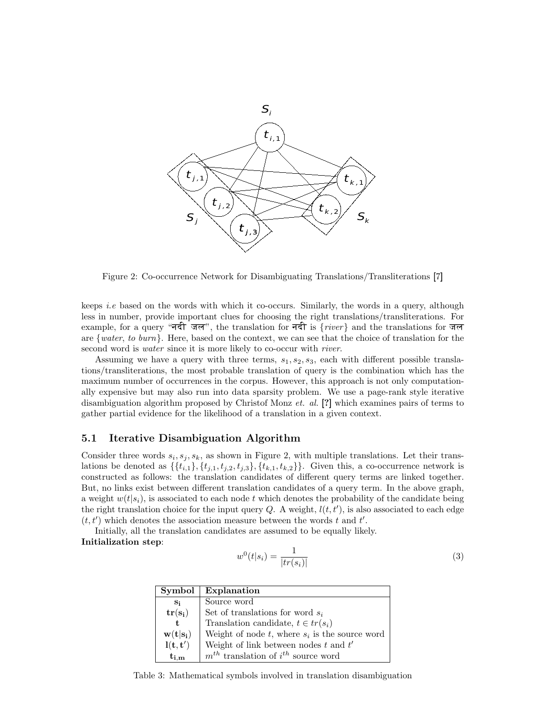

Figure 2: Co-occurrence Network for Disambiguating Translations/Transliterations [7]

keeps *i.e* based on the words with which it co-occurs. Similarly, the words in a query, although less in number, provide important clues for choosing the right translations/transliterations. For example, for a query "नदी जल", the translation for नदी is  $\{river\}$  and the translations for जल are {water, to burn}. Here, based on the context, we can see that the choice of translation for the second word is *water* since it is more likely to co-occur with *river*.

Assuming we have a query with three terms,  $s_1, s_2, s_3$ , each with different possible translations/transliterations, the most probable translation of query is the combination which has the maximum number of occurrences in the corpus. However, this approach is not only computationally expensive but may also run into data sparsity problem. We use a page-rank style iterative disambiguation algorithm proposed by Christof Monz *et. al.* [?] which examines pairs of terms to gather partial evidence for the likelihood of a translation in a given context.

#### 5.1 Iterative Disambiguation Algorithm

Consider three words  $s_i, s_j, s_k$ , as shown in Figure 2, with multiple translations. Let their translations be denoted as  $\{\{t_{i,1}\}, \{t_{j,1}, t_{j,2}, t_{j,3}\}, \{t_{k,1}, t_{k,2}\}\}\.$  Given this, a co-occurrence network is constructed as follows: the translation candidates of different query terms are linked together. But, no links exist between different translation candidates of a query term. In the above graph, a weight  $w(t|s_i)$ , is associated to each node t which denotes the probability of the candidate being the right translation choice for the input query Q. A weight,  $l(t, t')$ , is also associated to each edge  $(t, t')$  which denotes the association measure between the words t and t'.

Initially, all the translation candidates are assumed to be equally likely. Initialization step:

$$
w^{0}(t|s_{i}) = \frac{1}{|tr(s_{i})|}
$$
\n(3)

| Sumbol                                | Explanation                                               |
|---------------------------------------|-----------------------------------------------------------|
| $S_i$                                 | Source word                                               |
| $\mathbf{tr}(\mathbf{s_i})$           | Set of translations for word $s_i$                        |
| $\mathbf t$                           | Translation candidate, $t \in tr(s_i)$                    |
| $\mathbf{w}(\mathbf{t} \mathbf{s_i})$ | Weight of node $t$ , where $s_i$ is the source word       |
| $\mathbf{l}(\mathbf{t},\mathbf{t}')$  | Weight of link between nodes $t$ and $t'$                 |
| $t_{i,m}$                             | $\boldsymbol{m}^{th}$ translation of $i^{th}$ source word |

Table 3: Mathematical symbols involved in translation disambiguation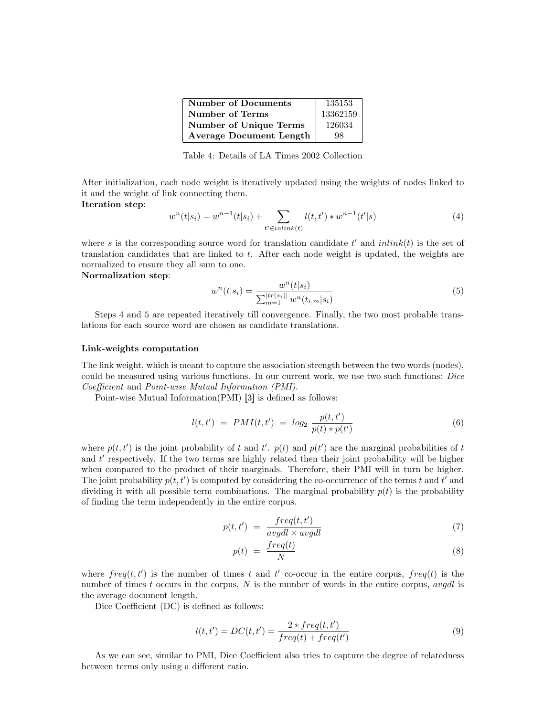| <b>Number of Documents</b>     | 135153   |
|--------------------------------|----------|
| Number of Terms                | 13362159 |
| <b>Number of Unique Terms</b>  | 126034   |
| <b>Average Document Length</b> | 98       |

Table 4: Details of LA Times 2002 Collection

After initialization, each node weight is iteratively updated using the weights of nodes linked to it and the weight of link connecting them.

Iteration step:

$$
w^{n}(t|s_{i}) = w^{n-1}(t|s_{i}) + \sum_{t' \in inlink(t)} l(t, t') * w^{n-1}(t'|s)
$$
\n
$$
(4)
$$

where s is the corresponding source word for translation candidate  $t'$  and  $inlink(t)$  is the set of translation candidates that are linked to t. After each node weight is updated, the weights are normalized to ensure they all sum to one.

Normalization step:

$$
w^{n}(t|s_{i}) = \frac{w^{n}(t|s_{i})}{\sum_{m=1}^{|tr(s_{i})|} w^{n}(t_{i,m}|s_{i})}
$$
(5)

Steps 4 and 5 are repeated iteratively till convergence. Finally, the two most probable translations for each source word are chosen as candidate translations.

#### Link-weights computation

The link weight, which is meant to capture the association strength between the two words (nodes), could be measured using various functions. In our current work, we use two such functions: Dice Coefficient and Point-wise Mutual Information (PMI).

Point-wise Mutual Information(PMI) [3] is defined as follows:

$$
l(t, t') = PMI(t, t') = log_2 \frac{p(t, t')}{p(t) * p(t')}
$$
\n(6)

where  $p(t, t')$  is the joint probability of t and t'.  $p(t)$  and  $p(t')$  are the marginal probabilities of t and  $t'$  respectively. If the two terms are highly related then their joint probability will be higher when compared to the product of their marginals. Therefore, their PMI will in turn be higher. The joint probability  $p(t, t')$  is computed by considering the co-occurrence of the terms t and t' and dividing it with all possible term combinations. The marginal probability  $p(t)$  is the probability of finding the term independently in the entire corpus.

$$
p(t, t') = \frac{freq(t, t')}{avgdl \times avgdl} \tag{7}
$$

$$
p(t) = \frac{freq(t)}{N} \tag{8}
$$

where  $freq(t, t')$  is the number of times t and t' co-occur in the entire corpus,  $freq(t)$  is the number of times t occurs in the corpus, N is the number of words in the entire corpus, avadl is the average document length.

Dice Coefficient (DC) is defined as follows:

$$
l(t, t') = DC(t, t') = \frac{2 * freq(t, t')}{freq(t) + freq(t')}
$$
\n
$$
(9)
$$

As we can see, similar to PMI, Dice Coefficient also tries to capture the degree of relatedness between terms only using a different ratio.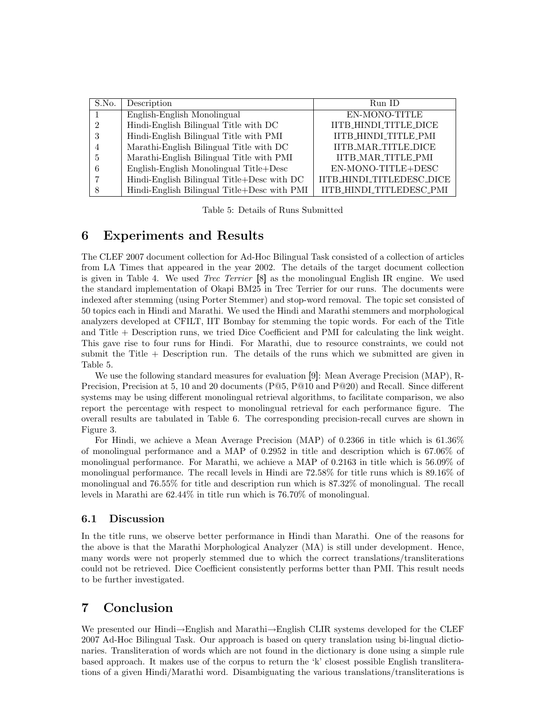| S.No.          | Description                                 | Run ID                    |  |  |  |
|----------------|---------------------------------------------|---------------------------|--|--|--|
|                | English-English Monolingual                 | EN-MONO-TITLE             |  |  |  |
| $\mathfrak{D}$ | Hindi-English Bilingual Title with DC       | IITB_HINDI_TITLE_DICE     |  |  |  |
| 3              | Hindi-English Bilingual Title with PMI      | IITB_HINDI_TITLE_PMI      |  |  |  |
|                | Marathi-English Bilingual Title with DC     | IITB_MAR_TITLE_DICE       |  |  |  |
| 5              | Marathi-English Bilingual Title with PMI    | <b>IITB_MAR_TITLE_PMI</b> |  |  |  |
|                | English-English Monolingual Title+Desc      | EN-MONO-TITLE+DESC        |  |  |  |
|                | Hindi-English Bilingual Title+Desc with DC  | IITB_HINDI_TITLEDESC_DICE |  |  |  |
| 8              | Hindi-English Bilingual Title+Desc with PMI | IITB_HINDI_TITLEDESC_PMI  |  |  |  |

Table 5: Details of Runs Submitted

### 6 Experiments and Results

The CLEF 2007 document collection for Ad-Hoc Bilingual Task consisted of a collection of articles from LA Times that appeared in the year 2002. The details of the target document collection is given in Table 4. We used Trec Terrier [8] as the monolingual English IR engine. We used the standard implementation of Okapi BM25 in Trec Terrier for our runs. The documents were indexed after stemming (using Porter Stemmer) and stop-word removal. The topic set consisted of 50 topics each in Hindi and Marathi. We used the Hindi and Marathi stemmers and morphological analyzers developed at CFILT, IIT Bombay for stemming the topic words. For each of the Title and Title + Description runs, we tried Dice Coefficient and PMI for calculating the link weight. This gave rise to four runs for Hindi. For Marathi, due to resource constraints, we could not submit the Title + Description run. The details of the runs which we submitted are given in Table 5.

We use the following standard measures for evaluation [9]: Mean Average Precision (MAP), R-Precision, Precision at 5, 10 and 20 documents (P@5, P@10 and P@20) and Recall. Since different systems may be using different monolingual retrieval algorithms, to facilitate comparison, we also report the percentage with respect to monolingual retrieval for each performance figure. The overall results are tabulated in Table 6. The corresponding precision-recall curves are shown in Figure 3.

For Hindi, we achieve a Mean Average Precision (MAP) of 0.2366 in title which is 61.36% of monolingual performance and a MAP of 0.2952 in title and description which is 67.06% of monolingual performance. For Marathi, we achieve a MAP of 0.2163 in title which is 56.09% of monolingual performance. The recall levels in Hindi are 72.58% for title runs which is 89.16% of monolingual and 76.55% for title and description run which is 87.32% of monolingual. The recall levels in Marathi are 62.44% in title run which is 76.70% of monolingual.

#### 6.1 Discussion

In the title runs, we observe better performance in Hindi than Marathi. One of the reasons for the above is that the Marathi Morphological Analyzer (MA) is still under development. Hence, many words were not properly stemmed due to which the correct translations/transliterations could not be retrieved. Dice Coefficient consistently performs better than PMI. This result needs to be further investigated.

## 7 Conclusion

We presented our Hindi→English and Marathi→English CLIR systems developed for the CLEF 2007 Ad-Hoc Bilingual Task. Our approach is based on query translation using bi-lingual dictionaries. Transliteration of words which are not found in the dictionary is done using a simple rule based approach. It makes use of the corpus to return the 'k' closest possible English transliterations of a given Hindi/Marathi word. Disambiguating the various translations/transliterations is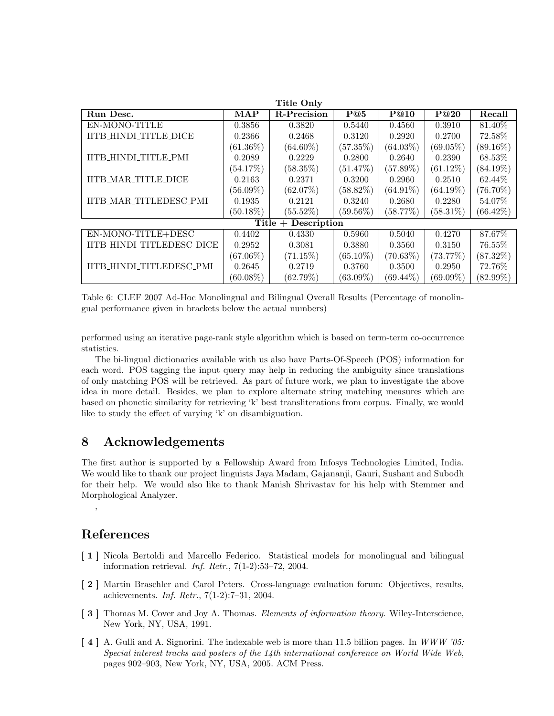| <b>Title Only</b>               |             |                    |             |             |             |             |  |  |
|---------------------------------|-------------|--------------------|-------------|-------------|-------------|-------------|--|--|
| Run Desc.                       | <b>MAP</b>  | <b>R-Precision</b> | P@5         | P@10        | P@20        | Recall      |  |  |
| EN-MONO-TITLE                   | 0.3856      | 0.3820             | 0.5440      | 0.4560      | 0.3910      | 81.40\%     |  |  |
| IITB_HINDI_TITLE_DICE           | 0.2366      | 0.2468             | 0.3120      | 0.2920      | 0.2700      | 72.58%      |  |  |
|                                 | $(61.36\%)$ | $(64.60\%)$        | $(57.35\%)$ | $(64.03\%)$ | $(69.05\%)$ | $(89.16\%)$ |  |  |
| IITB_HINDI_TITLE_PMI            | 0.2089      | 0.2229             | 0.2800      | 0.2640      | 0.2390      | 68.53\%     |  |  |
|                                 | $(54.17\%)$ | $(58.35\%)$        | $(51.47\%)$ | $(57.89\%)$ | $(61.12\%)$ | $(84.19\%)$ |  |  |
| <b>IITB_MAR_TITLE_DICE</b>      | 0.2163      | 0.2371             | 0.3200      | 0.2960      | 0.2510      | 62.44%      |  |  |
|                                 | $(56.09\%)$ | $(62.07\%)$        | $(58.82\%)$ | $(64.91\%)$ | $(64.19\%)$ | $(76.70\%)$ |  |  |
| IITB_MAR_TITLEDESC_PMI          | 0.1935      | 0.2121             | 0.3240      | 0.2680      | 0.2280      | 54.07\%     |  |  |
|                                 | $(50.18\%)$ | $(55.52\%)$        | $(59.56\%)$ | (58.77%)    | $(58.31\%)$ | $(66.42\%)$ |  |  |
| $Title + Description$           |             |                    |             |             |             |             |  |  |
| EN-MONO-TITLE+DESC              | 0.4402      | 0.4330             | 0.5960      | 0.5040      | 0.4270      | 87.67%      |  |  |
| IITB_HINDI_TITLEDESC_DICE       | 0.2952      | 0.3081             | 0.3880      | 0.3560      | 0.3150      | 76.55%      |  |  |
|                                 | $(67.06\%)$ | $(71.15\%)$        | $(65.10\%)$ | $(70.63\%)$ | (73.77%)    | $(87.32\%)$ |  |  |
| <b>IITB HINDI TITLEDESC PMI</b> | 0.2645      | 0.2719             | 0.3760      | 0.3500      | 0.2950      | 72.76%      |  |  |
|                                 | $(60.08\%)$ | $(62.79\%)$        | $(63.09\%)$ | $(69.44\%)$ | $(69.09\%)$ | $(82.99\%)$ |  |  |

Table 6: CLEF 2007 Ad-Hoc Monolingual and Bilingual Overall Results (Percentage of monolingual performance given in brackets below the actual numbers)

performed using an iterative page-rank style algorithm which is based on term-term co-occurrence statistics.

The bi-lingual dictionaries available with us also have Parts-Of-Speech (POS) information for each word. POS tagging the input query may help in reducing the ambiguity since translations of only matching POS will be retrieved. As part of future work, we plan to investigate the above idea in more detail. Besides, we plan to explore alternate string matching measures which are based on phonetic similarity for retrieving 'k' best transliterations from corpus. Finally, we would like to study the effect of varying 'k' on disambiguation.

### 8 Acknowledgements

The first author is supported by a Fellowship Award from Infosys Technologies Limited, India. We would like to thank our project linguists Jaya Madam, Gajananji, Gauri, Sushant and Subodh for their help. We would also like to thank Manish Shrivastav for his help with Stemmer and Morphological Analyzer.

### References

,

- [ 1 ] Nicola Bertoldi and Marcello Federico. Statistical models for monolingual and bilingual information retrieval. Inf. Retr., 7(1-2):53–72, 2004.
- [ 2 ] Martin Braschler and Carol Peters. Cross-language evaluation forum: Objectives, results, achievements. Inf. Retr., 7(1-2):7–31, 2004.
- [ 3 ] Thomas M. Cover and Joy A. Thomas. *Elements of information theory*. Wiley-Interscience, New York, NY, USA, 1991.
- [4] A. Gulli and A. Signorini. The indexable web is more than 11.5 billion pages. In WWW '05: Special interest tracks and posters of the 14th international conference on World Wide Web, pages 902–903, New York, NY, USA, 2005. ACM Press.